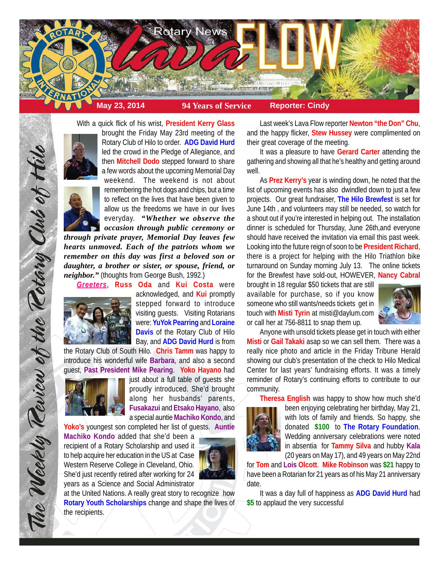

With a quick flick of his wrist, **President Kerry Glass**



brought the Friday May 23rd meeting of the Rotary Club of Hilo to order. **ADG David Hurd** led the crowd in the Pledge of Allegiance, and then **Mitchell Dodo** stepped forward to share a few words about the upcoming Memorial Day



weekend. The weekend is not about remembering the hot dogs and chips, but a time to reflect on the lives that have been given to allow us the freedoms we have in our lives everyday. *"Whether we observe the occasion through public ceremony or*

*through private prayer, Memorial Day leaves few hearts unmoved. Each of the patriots whom we remember on this day was first a beloved son or daughter, a brother or sister, or spouse, friend, or neighbor."* (thoughts from George Bush, 1992.)

*Greeters*, **Russ Oda** and **Kui Costa** were



The Weekly Review of the Rotary Club of Hil

acknowledged, and **Kui** promptly stepped forward to introduce visiting guests. Visiting Rotarians were: **YuYok Pearring** and **Loraine Davis** of the Rotary Club of Hilo Bay, and **ADG David Hurd** is from

the Rotary Club of South Hilo. **Chris Tamm** was happy to introduce his wonderful wife **Barbara**, and also a second guest, **Past President Mike Pearing**. **Yoko Hayano** had



just about a full table of guests she proudly introduced. She'd brought along her husbands' parents, **Fusakazui** and **Etsako Hayano**, also a special auntie **Machiko Kondo**, and

**Yoko's** youngest son completed her list of guests. **Auntie Machiko Kondo** added that she'd been a

recipient of a Rotary Scholarship and used it to help acquire her education in the US at Case Western Reserve College in Cleveland, Ohio. She'd just recently retired after working for 24 years as a Science and Social Administrator



at the United Nations. A really great story to recognize how **Rotary Youth Scholarships** change and shape the lives of the recipients.

Last week's Lava Flow reporter **Newton "the Don" Chu**, and the happy flicker, **Stew Hussey** were complimented on their great coverage of the meeting.

It was a pleasure to have **Gerard Carter** attending the gathering and showing all that he's healthy and getting around well.

As **Prez Kerry's** year is winding down, he noted that the list of upcoming events has also dwindled down to just a few projects. Our great fundraiser, **The Hilo Brewfest** is set for June 14th , and volunteers may still be needed, so watch for a shout out if you're interested in helping out. The installation dinner is scheduled for Thursday, June 26th,and everyone should have received the invitation via email this past week. Looking into the future reign of soon to be **President Richard**, there is a project for helping with the Hilo Triathlon bike turnaround on Sunday morning July 13. The online tickets for the Brewfest have sold-out, HOWEVER, **Nancy Cabral**

brought in 18 regular \$50 tickets that are still available for purchase, so if you know someone who still wants/needs tickets get in touch with **Misti Tyrin** at misti@daylum.com or call her at 756-8811 to snap them up.



Anyone with unsold tickets please get in touch with either **Misti** or **Gail Takaki** asap so we can sell them. There was a really nice photo and article in the Friday Tribune Herald showing our club's presentation of the check to Hilo Medical Center for last years' fundraising efforts. It was a timely reminder of Rotary's continuing efforts to contribute to our community.

**Theresa English** was happy to show how much she'd

been enjoying celebrating her birthday, May 21, with lots of family and friends. So happy, she donated **\$100** to **The Rotary Foundation**. Wedding anniversary celebrations were noted in absentia for **Tammy Silva** and hubby **Kala** (20 years on May 17), and 49 years on May 22nd

for **Tom** and **Lois Olcott**. **Mike Robinson** was **\$21** happy to have been a Rotarian for 21 years as of his May 21 anniversary date.

It was a day full of happiness as **ADG David Hurd** had **\$5** to applaud the very successful